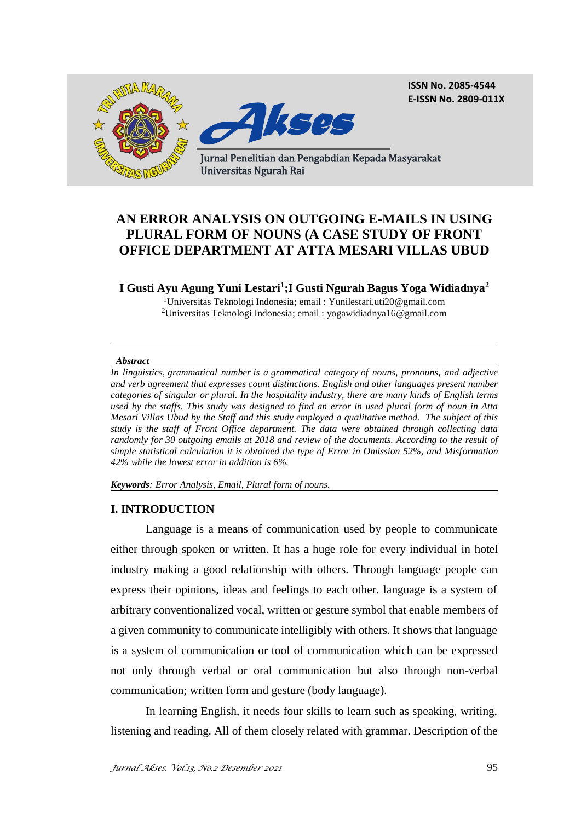**ISSN No. 2085-4544 E-ISSN No. 2809-011X**



# **AN ERROR ANALYSIS ON OUTGOING E-MAILS IN USING PLURAL FORM OF NOUNS (A CASE STUDY OF FRONT OFFICE DEPARTMENT AT ATTA MESARI VILLAS UBUD**

# **I Gusti Ayu Agung Yuni Lestari<sup>1</sup> ;I Gusti Ngurah Bagus Yoga Widiadnya<sup>2</sup>**

<sup>1</sup>Universitas Teknologi Indonesia; email : Yunilestari.uti20@gmail.com <sup>2</sup>Universitas Teknologi Indonesia; email : [yogawidiadnya16@gmail.com](mailto:yogawidiadnya16@gmail.com)

#### *Abstract*

*In linguistics, grammatical number is a grammatical category of nouns, pronouns, and adjective and verb agreement that expresses count distinctions. English and other languages present number categories of singular or plural. In the hospitality industry, there are many kinds of English terms used by the staffs. This study was designed to find an error in used plural form of noun in Atta Mesari Villas Ubud by the Staff and this study employed a qualitative method. The subject of this study is the staff of Front Office department. The data were obtained through collecting data randomly for 30 outgoing emails at 2018 and review of the documents. According to the result of simple statistical calculation it is obtained the type of Error in Omission 52%, and Misformation 42% while the lowest error in addition is 6%.*

*Keywords: Error Analysis, Email, Plural form of nouns.*

#### **I. INTRODUCTION**

Language is a means of communication used by people to communicate either through spoken or written. It has a huge role for every individual in hotel industry making a good relationship with others. Through language people can express their opinions, ideas and feelings to each other. language is a system of arbitrary conventionalized vocal, written or gesture symbol that enable members of a given community to communicate intelligibly with others. It shows that language is a system of communication or tool of communication which can be expressed not only through verbal or oral communication but also through non-verbal communication; written form and gesture (body language).

In learning English, it needs four skills to learn such as speaking, writing, listening and reading. All of them closely related with grammar. Description of the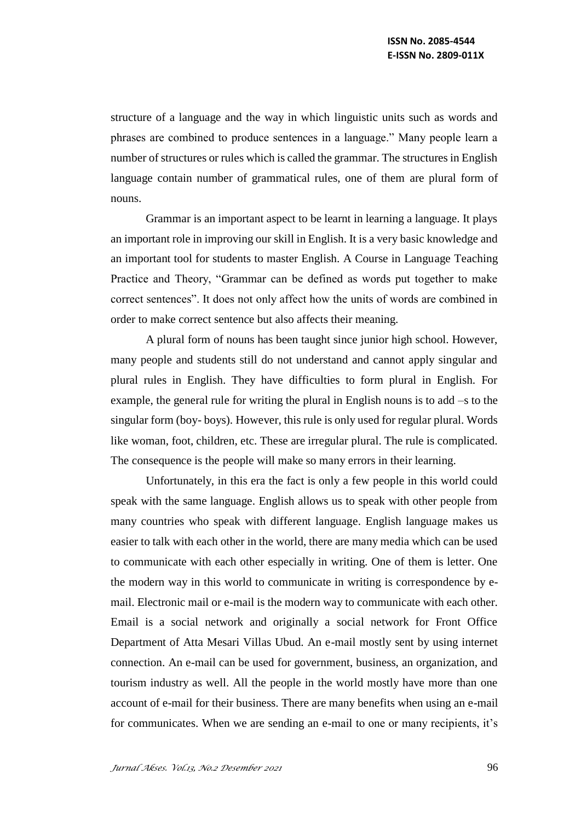structure of a language and the way in which linguistic units such as words and phrases are combined to produce sentences in a language." Many people learn a number of structures or rules which is called the grammar. The structures in English language contain number of grammatical rules, one of them are plural form of nouns.

Grammar is an important aspect to be learnt in learning a language. It plays an important role in improving our skill in English. It is a very basic knowledge and an important tool for students to master English. A Course in Language Teaching Practice and Theory, "Grammar can be defined as words put together to make correct sentences". It does not only affect how the units of words are combined in order to make correct sentence but also affects their meaning.

A plural form of nouns has been taught since junior high school. However, many people and students still do not understand and cannot apply singular and plural rules in English. They have difficulties to form plural in English. For example, the general rule for writing the plural in English nouns is to add –s to the singular form (boy- boys). However, this rule is only used for regular plural. Words like woman, foot, children, etc. These are irregular plural. The rule is complicated. The consequence is the people will make so many errors in their learning.

Unfortunately, in this era the fact is only a few people in this world could speak with the same language. English allows us to speak with other people from many countries who speak with different language. English language makes us easier to talk with each other in the world, there are many media which can be used to communicate with each other especially in writing. One of them is letter. One the modern way in this world to communicate in writing is correspondence by email. Electronic mail or e-mail is the modern way to communicate with each other. Email is a social network and originally a social network for Front Office Department of Atta Mesari Villas Ubud. An e-mail mostly sent by using internet connection. An e-mail can be used for government, business, an organization, and tourism industry as well. All the people in the world mostly have more than one account of e-mail for their business. There are many benefits when using an e-mail for communicates. When we are sending an e-mail to one or many recipients, it's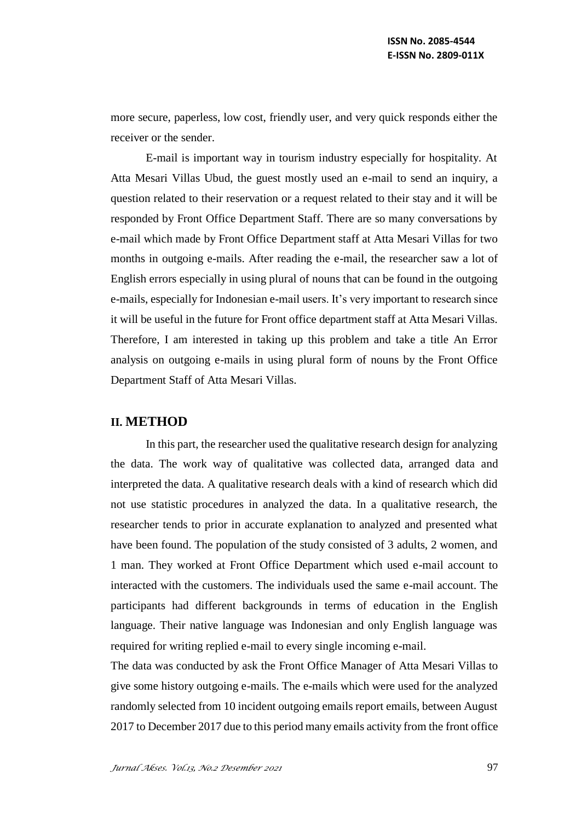more secure, paperless, low cost, friendly user, and very quick responds either the receiver or the sender.

E-mail is important way in tourism industry especially for hospitality. At Atta Mesari Villas Ubud, the guest mostly used an e-mail to send an inquiry, a question related to their reservation or a request related to their stay and it will be responded by Front Office Department Staff. There are so many conversations by e-mail which made by Front Office Department staff at Atta Mesari Villas for two months in outgoing e-mails. After reading the e-mail, the researcher saw a lot of English errors especially in using plural of nouns that can be found in the outgoing e-mails, especially for Indonesian e-mail users. It's very important to research since it will be useful in the future for Front office department staff at Atta Mesari Villas. Therefore, I am interested in taking up this problem and take a title An Error analysis on outgoing e-mails in using plural form of nouns by the Front Office Department Staff of Atta Mesari Villas.

# **II. METHOD**

In this part, the researcher used the qualitative research design for analyzing the data. The work way of qualitative was collected data, arranged data and interpreted the data. A qualitative research deals with a kind of research which did not use statistic procedures in analyzed the data. In a qualitative research, the researcher tends to prior in accurate explanation to analyzed and presented what have been found. The population of the study consisted of 3 adults, 2 women, and 1 man. They worked at Front Office Department which used e-mail account to interacted with the customers. The individuals used the same e-mail account. The participants had different backgrounds in terms of education in the English language. Their native language was Indonesian and only English language was required for writing replied e-mail to every single incoming e-mail.

The data was conducted by ask the Front Office Manager of Atta Mesari Villas to give some history outgoing e-mails. The e-mails which were used for the analyzed randomly selected from 10 incident outgoing emails report emails, between August 2017 to December 2017 due to this period many emails activity from the front office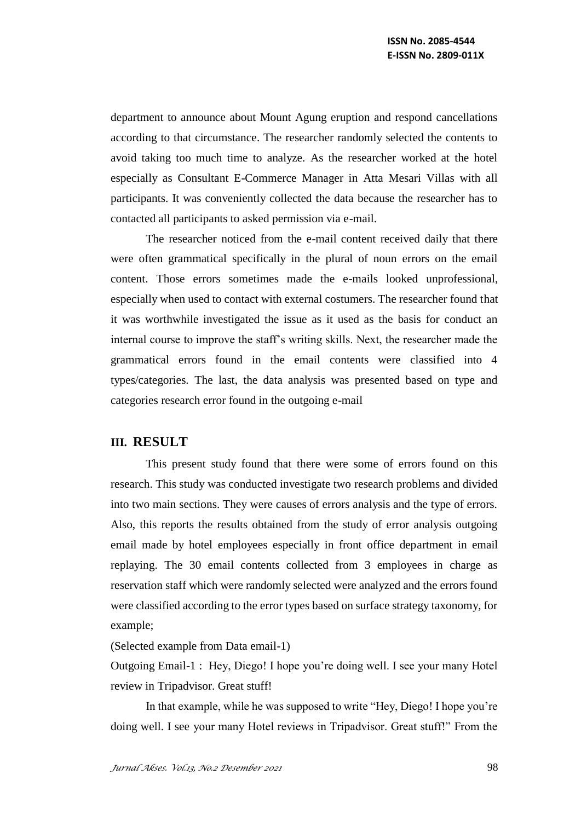department to announce about Mount Agung eruption and respond cancellations according to that circumstance. The researcher randomly selected the contents to avoid taking too much time to analyze. As the researcher worked at the hotel especially as Consultant E-Commerce Manager in Atta Mesari Villas with all participants. It was conveniently collected the data because the researcher has to contacted all participants to asked permission via e-mail.

The researcher noticed from the e-mail content received daily that there were often grammatical specifically in the plural of noun errors on the email content. Those errors sometimes made the e-mails looked unprofessional, especially when used to contact with external costumers. The researcher found that it was worthwhile investigated the issue as it used as the basis for conduct an internal course to improve the staff's writing skills. Next, the researcher made the grammatical errors found in the email contents were classified into 4 types/categories. The last, the data analysis was presented based on type and categories research error found in the outgoing e-mail

# **III. RESULT**

This present study found that there were some of errors found on this research. This study was conducted investigate two research problems and divided into two main sections. They were causes of errors analysis and the type of errors. Also, this reports the results obtained from the study of error analysis outgoing email made by hotel employees especially in front office department in email replaying. The 30 email contents collected from 3 employees in charge as reservation staff which were randomly selected were analyzed and the errors found were classified according to the error types based on surface strategy taxonomy, for example;

(Selected example from Data email-1)

Outgoing Email-1 : Hey, Diego! I hope you're doing well. I see your many Hotel review in Tripadvisor. Great stuff!

In that example, while he was supposed to write "Hey, Diego! I hope you're doing well. I see your many Hotel reviews in Tripadvisor. Great stuff!" From the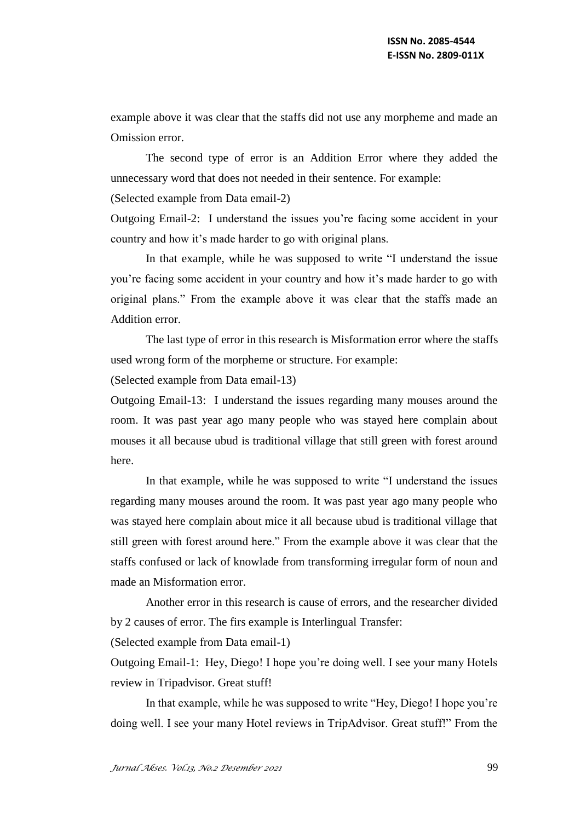example above it was clear that the staffs did not use any morpheme and made an Omission error.

The second type of error is an Addition Error where they added the unnecessary word that does not needed in their sentence. For example:

(Selected example from Data email-2)

Outgoing Email-2: I understand the issues you're facing some accident in your country and how it's made harder to go with original plans.

In that example, while he was supposed to write "I understand the issue you're facing some accident in your country and how it's made harder to go with original plans." From the example above it was clear that the staffs made an Addition error.

The last type of error in this research is Misformation error where the staffs used wrong form of the morpheme or structure. For example:

(Selected example from Data email-13)

Outgoing Email-13: I understand the issues regarding many mouses around the room. It was past year ago many people who was stayed here complain about mouses it all because ubud is traditional village that still green with forest around here.

In that example, while he was supposed to write "I understand the issues regarding many mouses around the room. It was past year ago many people who was stayed here complain about mice it all because ubud is traditional village that still green with forest around here." From the example above it was clear that the staffs confused or lack of knowlade from transforming irregular form of noun and made an Misformation error.

Another error in this research is cause of errors, and the researcher divided by 2 causes of error. The firs example is Interlingual Transfer:

(Selected example from Data email-1)

Outgoing Email-1: Hey, Diego! I hope you're doing well. I see your many Hotels review in Tripadvisor. Great stuff!

In that example, while he was supposed to write "Hey, Diego! I hope you're doing well. I see your many Hotel reviews in TripAdvisor. Great stuff!" From the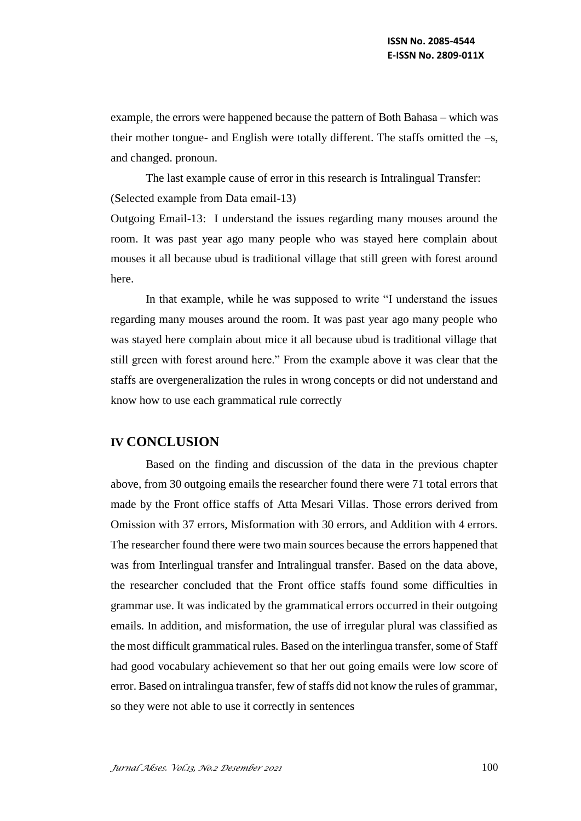example, the errors were happened because the pattern of Both Bahasa – which was their mother tongue- and English were totally different. The staffs omitted the –s, and changed. pronoun.

The last example cause of error in this research is Intralingual Transfer: (Selected example from Data email-13)

Outgoing Email-13: I understand the issues regarding many mouses around the room. It was past year ago many people who was stayed here complain about mouses it all because ubud is traditional village that still green with forest around here.

In that example, while he was supposed to write "I understand the issues regarding many mouses around the room. It was past year ago many people who was stayed here complain about mice it all because ubud is traditional village that still green with forest around here." From the example above it was clear that the staffs are overgeneralization the rules in wrong concepts or did not understand and know how to use each grammatical rule correctly

# **IV CONCLUSION**

Based on the finding and discussion of the data in the previous chapter above, from 30 outgoing emails the researcher found there were 71 total errors that made by the Front office staffs of Atta Mesari Villas. Those errors derived from Omission with 37 errors, Misformation with 30 errors, and Addition with 4 errors. The researcher found there were two main sources because the errors happened that was from Interlingual transfer and Intralingual transfer. Based on the data above, the researcher concluded that the Front office staffs found some difficulties in grammar use. It was indicated by the grammatical errors occurred in their outgoing emails. In addition, and misformation, the use of irregular plural was classified as the most difficult grammatical rules. Based on the interlingua transfer, some of Staff had good vocabulary achievement so that her out going emails were low score of error. Based on intralingua transfer, few of staffs did not know the rules of grammar, so they were not able to use it correctly in sentences